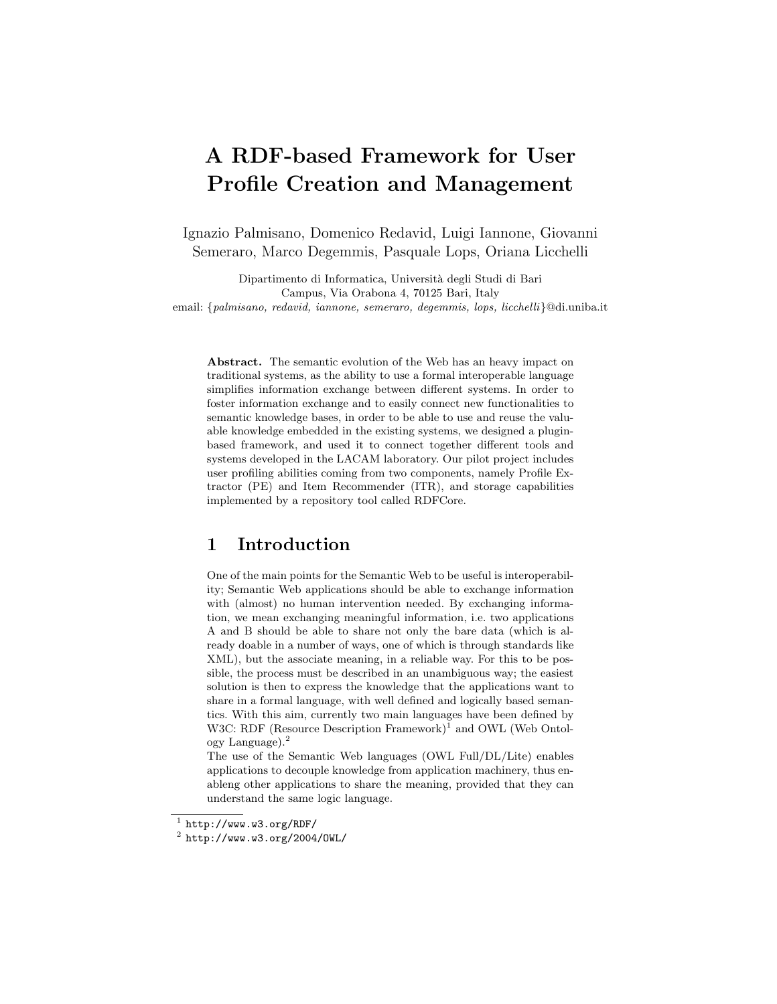# A RDF-based Framework for User Profile Creation and Management

Ignazio Palmisano, Domenico Redavid, Luigi Iannone, Giovanni Semeraro, Marco Degemmis, Pasquale Lops, Oriana Licchelli

Dipartimento di Informatica, Universit`a degli Studi di Bari Campus, Via Orabona 4, 70125 Bari, Italy email: {palmisano, redavid, iannone, semeraro, degemmis, lops, licchelli}@di.uniba.it

Abstract. The semantic evolution of the Web has an heavy impact on traditional systems, as the ability to use a formal interoperable language simplifies information exchange between different systems. In order to foster information exchange and to easily connect new functionalities to semantic knowledge bases, in order to be able to use and reuse the valuable knowledge embedded in the existing systems, we designed a pluginbased framework, and used it to connect together different tools and systems developed in the LACAM laboratory. Our pilot project includes user profiling abilities coming from two components, namely Profile Extractor (PE) and Item Recommender (ITR), and storage capabilities implemented by a repository tool called RDFCore.

# 1 Introduction

One of the main points for the Semantic Web to be useful is interoperability; Semantic Web applications should be able to exchange information with (almost) no human intervention needed. By exchanging information, we mean exchanging meaningful information, i.e. two applications A and B should be able to share not only the bare data (which is already doable in a number of ways, one of which is through standards like XML), but the associate meaning, in a reliable way. For this to be possible, the process must be described in an unambiguous way; the easiest solution is then to express the knowledge that the applications want to share in a formal language, with well defined and logically based semantics. With this aim, currently two main languages have been defined by W3C: RDF (Resource Description Framework)<sup>1</sup> and OWL (Web Ontology Language).<sup>2</sup>

The use of the Semantic Web languages (OWL Full/DL/Lite) enables applications to decouple knowledge from application machinery, thus enableng other applications to share the meaning, provided that they can understand the same logic language.

 $<sup>1</sup>$  http://www.w3.org/RDF/</sup>

 $^2$  http://www.w3.org/2004/OWL/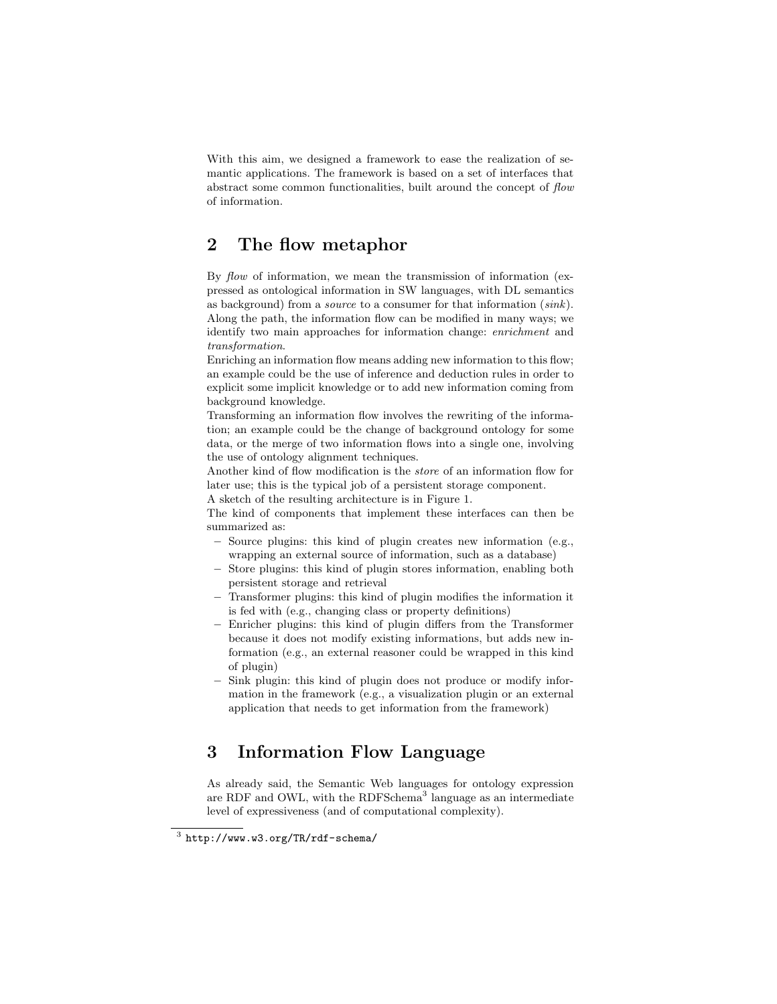With this aim, we designed a framework to ease the realization of semantic applications. The framework is based on a set of interfaces that abstract some common functionalities, built around the concept of flow of information.

# 2 The flow metaphor

By flow of information, we mean the transmission of information (expressed as ontological information in SW languages, with DL semantics as background) from a source to a consumer for that information (sink). Along the path, the information flow can be modified in many ways; we identify two main approaches for information change: enrichment and transformation.

Enriching an information flow means adding new information to this flow; an example could be the use of inference and deduction rules in order to explicit some implicit knowledge or to add new information coming from background knowledge.

Transforming an information flow involves the rewriting of the information; an example could be the change of background ontology for some data, or the merge of two information flows into a single one, involving the use of ontology alignment techniques.

Another kind of flow modification is the store of an information flow for later use; this is the typical job of a persistent storage component.

A sketch of the resulting architecture is in Figure 1.

The kind of components that implement these interfaces can then be summarized as:

- Source plugins: this kind of plugin creates new information (e.g., wrapping an external source of information, such as a database)
- Store plugins: this kind of plugin stores information, enabling both persistent storage and retrieval
- Transformer plugins: this kind of plugin modifies the information it is fed with (e.g., changing class or property definitions)
- Enricher plugins: this kind of plugin differs from the Transformer because it does not modify existing informations, but adds new information (e.g., an external reasoner could be wrapped in this kind of plugin)
- Sink plugin: this kind of plugin does not produce or modify information in the framework (e.g., a visualization plugin or an external application that needs to get information from the framework)

# 3 Information Flow Language

As already said, the Semantic Web languages for ontology expression are RDF and OWL, with the RDFSchema<sup>3</sup> language as an intermediate level of expressiveness (and of computational complexity).

 $^3$  http://www.w3.org/TR/rdf-schema/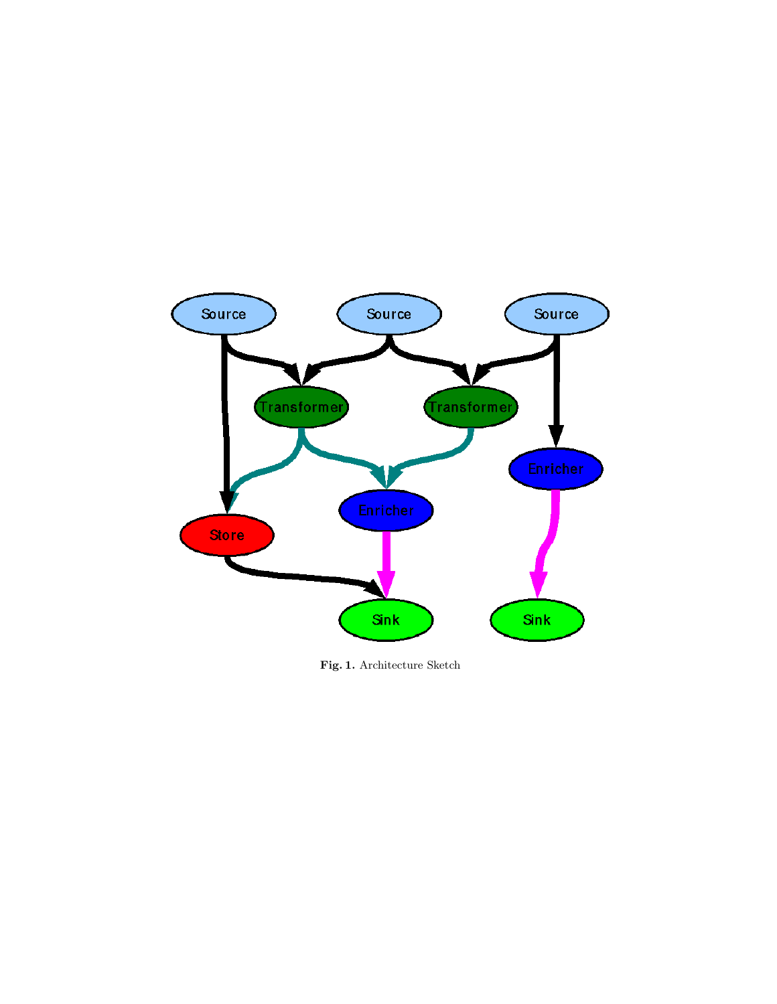

Fig. 1. Architecture Sketch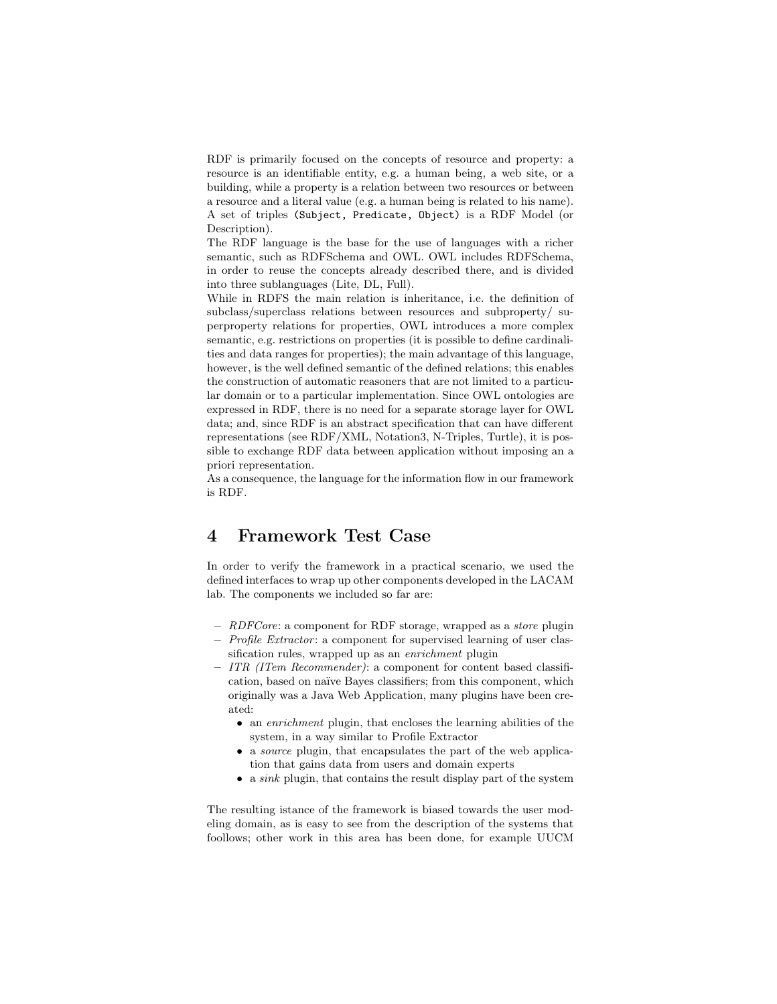RDF is primarily focused on the concepts of resource and property: a resource is an identifiable entity, e.g. a human being, a web site, or a building, while a property is a relation between two resources or between a resource and a literal value (e.g. a human being is related to his name). A set of triples (Subject, Predicate, Object) is a RDF Model (or Description).

The RDF language is the base for the use of languages with a richer semantic, such as RDFSchema and OWL. OWL includes RDFSchema, in order to reuse the concepts already described there, and is divided into three sublanguages (Lite, DL, Full).

While in RDFS the main relation is inheritance, i.e. the definition of subclass/superclass relations between resources and subproperty/ superproperty relations for properties, OWL introduces a more complex semantic, e.g. restrictions on properties (it is possible to define cardinalities and data ranges for properties); the main advantage of this language, however, is the well defined semantic of the defined relations; this enables the construction of automatic reasoners that are not limited to a particular domain or to a particular implementation. Since OWL ontologies are expressed in RDF, there is no need for a separate storage layer for OWL data; and, since RDF is an abstract specification that can have different representations (see RDF/XML, Notation3, N-Triples, Turtle), it is possible to exchange RDF data between application without imposing an a priori representation.

As a consequence, the language for the information flow in our framework is RDF.

# 4 Framework Test Case

In order to verify the framework in a practical scenario, we used the defined interfaces to wrap up other components developed in the LACAM lab. The components we included so far are:

- RDFCore: a component for RDF storage, wrapped as a store plugin
- Profile Extractor: a component for supervised learning of user classification rules, wrapped up as an enrichment plugin
- ITR (ITem Recommender): a component for content based classification, based on naïve Bayes classifiers; from this component, which originally was a Java Web Application, many plugins have been created:
	- an *enrichment* plugin, that encloses the learning abilities of the system, in a way similar to Profile Extractor
	- a source plugin, that encapsulates the part of the web application that gains data from users and domain experts
	- a sink plugin, that contains the result display part of the system

The resulting istance of the framework is biased towards the user modeling domain, as is easy to see from the description of the systems that foollows; other work in this area has been done, for example UUCM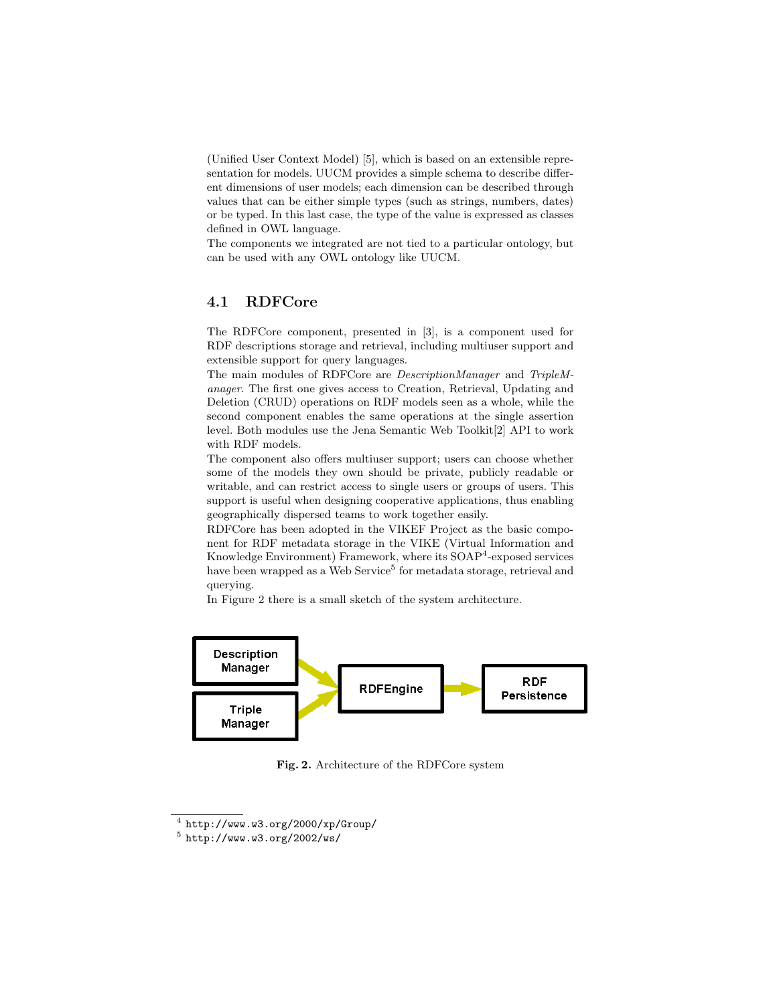(Unified User Context Model) [5], which is based on an extensible representation for models. UUCM provides a simple schema to describe different dimensions of user models; each dimension can be described through values that can be either simple types (such as strings, numbers, dates) or be typed. In this last case, the type of the value is expressed as classes defined in OWL language.

The components we integrated are not tied to a particular ontology, but can be used with any OWL ontology like UUCM.

#### 4.1 RDFCore

The RDFCore component, presented in [3], is a component used for RDF descriptions storage and retrieval, including multiuser support and extensible support for query languages.

The main modules of RDFCore are DescriptionManager and TripleManager. The first one gives access to Creation, Retrieval, Updating and Deletion (CRUD) operations on RDF models seen as a whole, while the second component enables the same operations at the single assertion level. Both modules use the Jena Semantic Web Toolkit[2] API to work with RDF models.

The component also offers multiuser support; users can choose whether some of the models they own should be private, publicly readable or writable, and can restrict access to single users or groups of users. This support is useful when designing cooperative applications, thus enabling geographically dispersed teams to work together easily.

RDFCore has been adopted in the VIKEF Project as the basic component for RDF metadata storage in the VIKE (Virtual Information and Knowledge Environment) Framework, where its SOAP<sup>4</sup>-exposed services have been wrapped as a Web Service<sup>5</sup> for metadata storage, retrieval and querying.

In Figure 2 there is a small sketch of the system architecture.



Fig. 2. Architecture of the RDFCore system

 $^4$  http://www.w3.org/2000/xp/Group/

 $^5$  http://www.w $3.\texttt{org}/2002/\texttt{ws}/$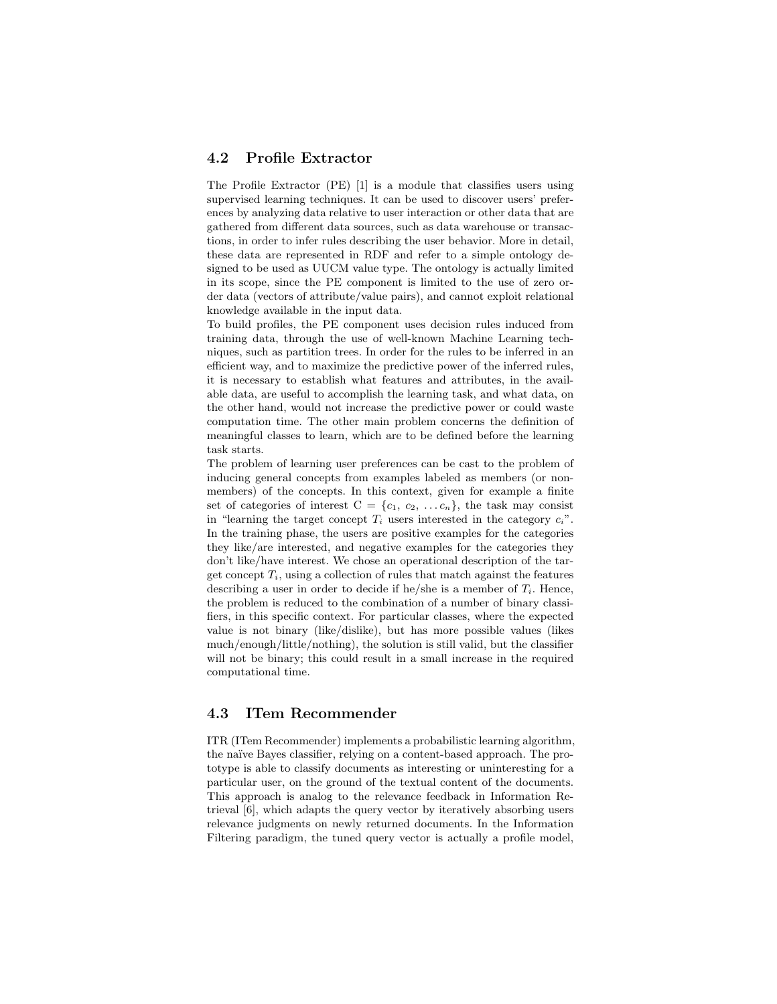#### 4.2 Profile Extractor

The Profile Extractor (PE) [1] is a module that classifies users using supervised learning techniques. It can be used to discover users' preferences by analyzing data relative to user interaction or other data that are gathered from different data sources, such as data warehouse or transactions, in order to infer rules describing the user behavior. More in detail, these data are represented in RDF and refer to a simple ontology designed to be used as UUCM value type. The ontology is actually limited in its scope, since the PE component is limited to the use of zero order data (vectors of attribute/value pairs), and cannot exploit relational knowledge available in the input data.

To build profiles, the PE component uses decision rules induced from training data, through the use of well-known Machine Learning techniques, such as partition trees. In order for the rules to be inferred in an efficient way, and to maximize the predictive power of the inferred rules, it is necessary to establish what features and attributes, in the available data, are useful to accomplish the learning task, and what data, on the other hand, would not increase the predictive power or could waste computation time. The other main problem concerns the definition of meaningful classes to learn, which are to be defined before the learning task starts.

The problem of learning user preferences can be cast to the problem of inducing general concepts from examples labeled as members (or nonmembers) of the concepts. In this context, given for example a finite set of categories of interest  $C = \{c_1, c_2, \ldots c_n\}$ , the task may consist in "learning the target concept  $T_i$  users interested in the category  $c_i$ ". In the training phase, the users are positive examples for the categories they like/are interested, and negative examples for the categories they don't like/have interest. We chose an operational description of the target concept  $T_i$ , using a collection of rules that match against the features describing a user in order to decide if he/she is a member of  $T_i$ . Hence, the problem is reduced to the combination of a number of binary classifiers, in this specific context. For particular classes, where the expected value is not binary (like/dislike), but has more possible values (likes much/enough/little/nothing), the solution is still valid, but the classifier will not be binary; this could result in a small increase in the required computational time.

#### 4.3 ITem Recommender

ITR (ITem Recommender) implements a probabilistic learning algorithm, the na¨ıve Bayes classifier, relying on a content-based approach. The prototype is able to classify documents as interesting or uninteresting for a particular user, on the ground of the textual content of the documents. This approach is analog to the relevance feedback in Information Retrieval [6], which adapts the query vector by iteratively absorbing users relevance judgments on newly returned documents. In the Information Filtering paradigm, the tuned query vector is actually a profile model,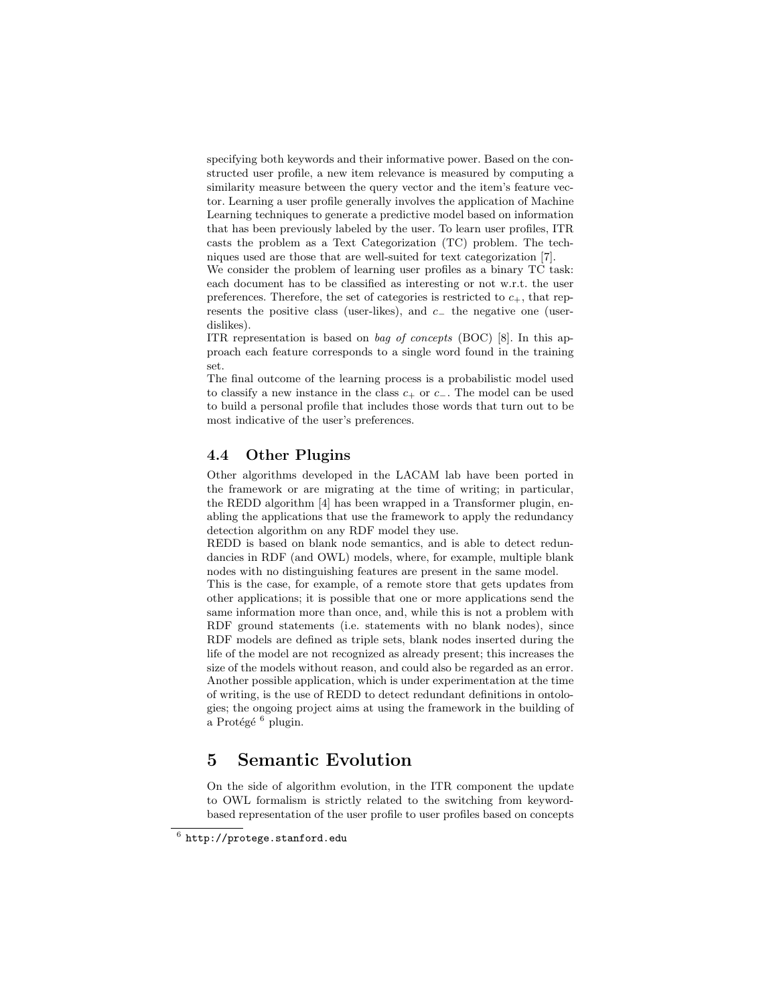specifying both keywords and their informative power. Based on the constructed user profile, a new item relevance is measured by computing a similarity measure between the query vector and the item's feature vector. Learning a user profile generally involves the application of Machine Learning techniques to generate a predictive model based on information that has been previously labeled by the user. To learn user profiles, ITR casts the problem as a Text Categorization (TC) problem. The techniques used are those that are well-suited for text categorization [7].

We consider the problem of learning user profiles as a binary TC task: each document has to be classified as interesting or not w.r.t. the user preferences. Therefore, the set of categories is restricted to  $c_{+}$ , that represents the positive class (user-likes), and  $c_-\,$  the negative one (userdislikes).

ITR representation is based on bag of concepts (BOC) [8]. In this approach each feature corresponds to a single word found in the training set.

The final outcome of the learning process is a probabilistic model used to classify a new instance in the class  $c_{+}$  or  $c_{-}$ . The model can be used to build a personal profile that includes those words that turn out to be most indicative of the user's preferences.

#### 4.4 Other Plugins

Other algorithms developed in the LACAM lab have been ported in the framework or are migrating at the time of writing; in particular, the REDD algorithm [4] has been wrapped in a Transformer plugin, enabling the applications that use the framework to apply the redundancy detection algorithm on any RDF model they use.

REDD is based on blank node semantics, and is able to detect redundancies in RDF (and OWL) models, where, for example, multiple blank nodes with no distinguishing features are present in the same model.

This is the case, for example, of a remote store that gets updates from other applications; it is possible that one or more applications send the same information more than once, and, while this is not a problem with RDF ground statements (i.e. statements with no blank nodes), since RDF models are defined as triple sets, blank nodes inserted during the life of the model are not recognized as already present; this increases the size of the models without reason, and could also be regarded as an error. Another possible application, which is under experimentation at the time of writing, is the use of REDD to detect redundant definitions in ontologies; the ongoing project aims at using the framework in the building of a Protégé<sup>6</sup> plugin.

# 5 Semantic Evolution

On the side of algorithm evolution, in the ITR component the update to OWL formalism is strictly related to the switching from keywordbased representation of the user profile to user profiles based on concepts

 $^6$  http://protege.stanford.edu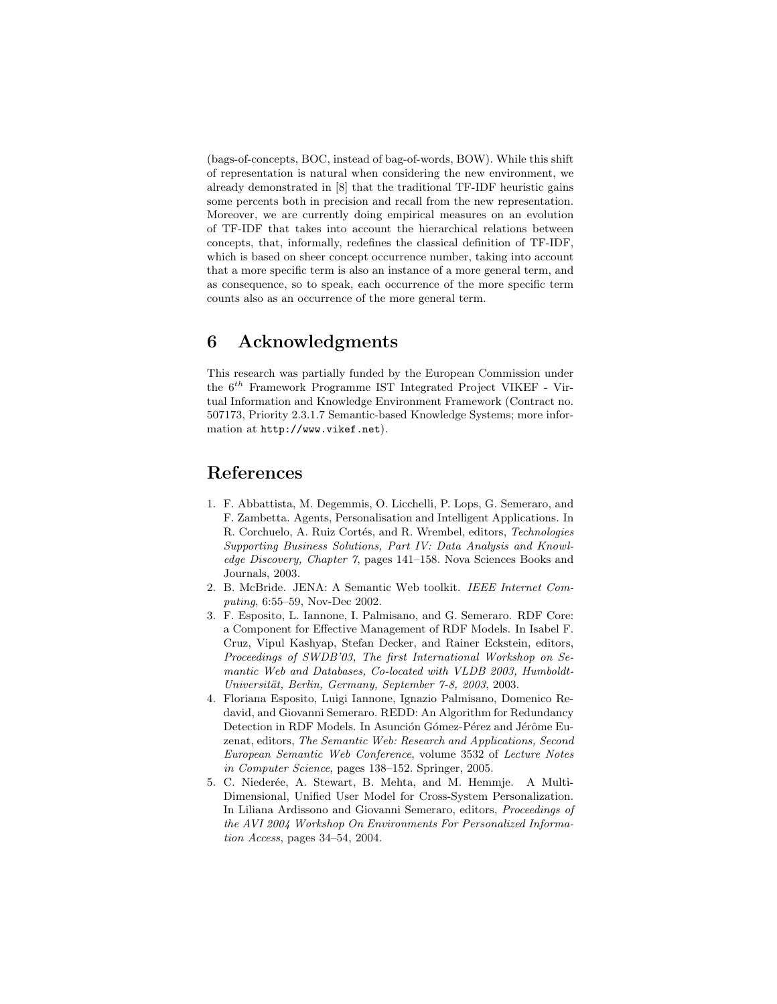(bags-of-concepts, BOC, instead of bag-of-words, BOW). While this shift of representation is natural when considering the new environment, we already demonstrated in [8] that the traditional TF-IDF heuristic gains some percents both in precision and recall from the new representation. Moreover, we are currently doing empirical measures on an evolution of TF-IDF that takes into account the hierarchical relations between concepts, that, informally, redefines the classical definition of TF-IDF, which is based on sheer concept occurrence number, taking into account that a more specific term is also an instance of a more general term, and as consequence, so to speak, each occurrence of the more specific term counts also as an occurrence of the more general term.

# 6 Acknowledgments

This research was partially funded by the European Commission under the  $6^{th}$  Framework Programme IST Integrated Project VIKEF - Virtual Information and Knowledge Environment Framework (Contract no. 507173, Priority 2.3.1.7 Semantic-based Knowledge Systems; more information at http://www.vikef.net).

# References

- 1. F. Abbattista, M. Degemmis, O. Licchelli, P. Lops, G. Semeraro, and F. Zambetta. Agents, Personalisation and Intelligent Applications. In R. Corchuelo, A. Ruiz Cortés, and R. Wrembel, editors, Technologies Supporting Business Solutions, Part IV: Data Analysis and Knowledge Discovery, Chapter 7, pages 141–158. Nova Sciences Books and Journals, 2003.
- 2. B. McBride. JENA: A Semantic Web toolkit. IEEE Internet Computing, 6:55–59, Nov-Dec 2002.
- 3. F. Esposito, L. Iannone, I. Palmisano, and G. Semeraro. RDF Core: a Component for Effective Management of RDF Models. In Isabel F. Cruz, Vipul Kashyap, Stefan Decker, and Rainer Eckstein, editors, Proceedings of SWDB'03, The first International Workshop on Semantic Web and Databases, Co-located with VLDB 2003, Humboldt-Universität, Berlin, Germany, September 7-8, 2003, 2003.
- 4. Floriana Esposito, Luigi Iannone, Ignazio Palmisano, Domenico Redavid, and Giovanni Semeraro. REDD: An Algorithm for Redundancy Detection in RDF Models. In Asunción Gómez-Pérez and Jérôme Euzenat, editors, The Semantic Web: Research and Applications, Second European Semantic Web Conference, volume 3532 of Lecture Notes in Computer Science, pages 138–152. Springer, 2005.
- 5. C. Niederée, A. Stewart, B. Mehta, and M. Hemmje. A Multi-Dimensional, Unified User Model for Cross-System Personalization. In Liliana Ardissono and Giovanni Semeraro, editors, Proceedings of the AVI 2004 Workshop On Environments For Personalized Information Access, pages 34–54, 2004.